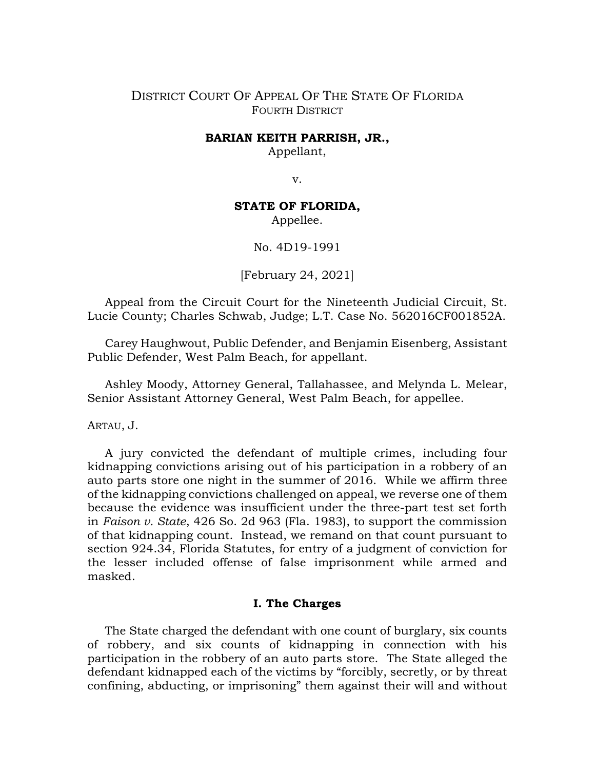# DISTRICT COURT OF APPEAL OF THE STATE OF FLORIDA FOURTH DISTRICT

### **BARIAN KEITH PARRISH, JR.,**

Appellant,

v.

## **STATE OF FLORIDA,**

Appellee.

No. 4D19-1991

[February 24, 2021]

Appeal from the Circuit Court for the Nineteenth Judicial Circuit, St. Lucie County; Charles Schwab, Judge; L.T. Case No. 562016CF001852A.

Carey Haughwout, Public Defender, and Benjamin Eisenberg, Assistant Public Defender, West Palm Beach, for appellant.

Ashley Moody, Attorney General, Tallahassee, and Melynda L. Melear, Senior Assistant Attorney General, West Palm Beach, for appellee.

ARTAU, J.

A jury convicted the defendant of multiple crimes, including four kidnapping convictions arising out of his participation in a robbery of an auto parts store one night in the summer of 2016. While we affirm three of the kidnapping convictions challenged on appeal, we reverse one of them because the evidence was insufficient under the three-part test set forth in *Faison v. State*, 426 So. 2d 963 (Fla. 1983), to support the commission of that kidnapping count. Instead, we remand on that count pursuant to section 924.34, Florida Statutes, for entry of a judgment of conviction for the lesser included offense of false imprisonment while armed and masked.

## **I. The Charges**

The State charged the defendant with one count of burglary, six counts of robbery, and six counts of kidnapping in connection with his participation in the robbery of an auto parts store. The State alleged the defendant kidnapped each of the victims by "forcibly, secretly, or by threat confining, abducting, or imprisoning" them against their will and without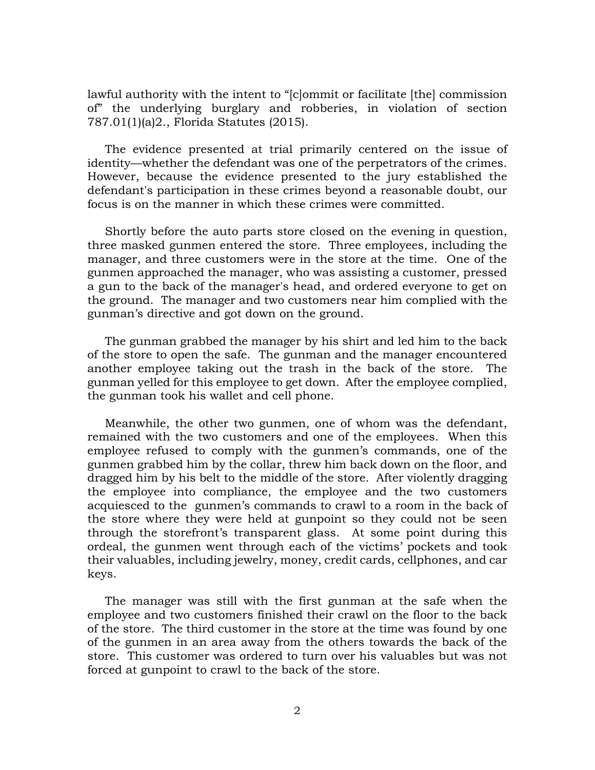lawful authority with the intent to "[c]ommit or facilitate [the] commission of" the underlying burglary and robberies, in violation of section 787.01(1)(a)2., Florida Statutes (2015).

The evidence presented at trial primarily centered on the issue of identity—whether the defendant was one of the perpetrators of the crimes. However, because the evidence presented to the jury established the defendant's participation in these crimes beyond a reasonable doubt, our focus is on the manner in which these crimes were committed.

Shortly before the auto parts store closed on the evening in question, three masked gunmen entered the store. Three employees, including the manager, and three customers were in the store at the time. One of the gunmen approached the manager, who was assisting a customer, pressed a gun to the back of the manager's head, and ordered everyone to get on the ground. The manager and two customers near him complied with the gunman's directive and got down on the ground.

The gunman grabbed the manager by his shirt and led him to the back of the store to open the safe. The gunman and the manager encountered another employee taking out the trash in the back of the store. The gunman yelled for this employee to get down. After the employee complied, the gunman took his wallet and cell phone.

Meanwhile, the other two gunmen, one of whom was the defendant, remained with the two customers and one of the employees. When this employee refused to comply with the gunmen's commands, one of the gunmen grabbed him by the collar, threw him back down on the floor, and dragged him by his belt to the middle of the store. After violently dragging the employee into compliance, the employee and the two customers acquiesced to the gunmen's commands to crawl to a room in the back of the store where they were held at gunpoint so they could not be seen through the storefront's transparent glass. At some point during this ordeal, the gunmen went through each of the victims' pockets and took their valuables, including jewelry, money, credit cards, cellphones, and car keys.

The manager was still with the first gunman at the safe when the employee and two customers finished their crawl on the floor to the back of the store. The third customer in the store at the time was found by one of the gunmen in an area away from the others towards the back of the store. This customer was ordered to turn over his valuables but was not forced at gunpoint to crawl to the back of the store.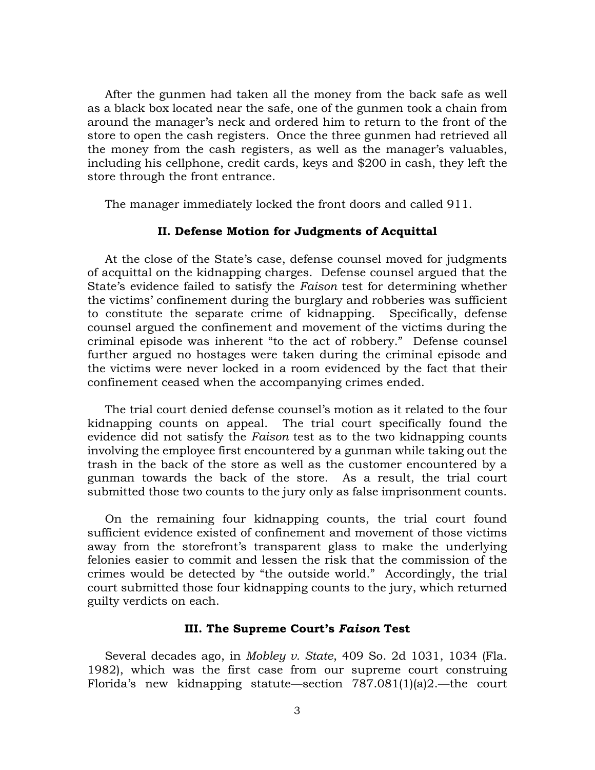After the gunmen had taken all the money from the back safe as well as a black box located near the safe, one of the gunmen took a chain from around the manager's neck and ordered him to return to the front of the store to open the cash registers. Once the three gunmen had retrieved all the money from the cash registers, as well as the manager's valuables, including his cellphone, credit cards, keys and \$200 in cash, they left the store through the front entrance.

The manager immediately locked the front doors and called 911.

### **II. Defense Motion for Judgments of Acquittal**

At the close of the State's case, defense counsel moved for judgments of acquittal on the kidnapping charges. Defense counsel argued that the State's evidence failed to satisfy the *Faison* test for determining whether the victims' confinement during the burglary and robberies was sufficient to constitute the separate crime of kidnapping. Specifically, defense counsel argued the confinement and movement of the victims during the criminal episode was inherent "to the act of robbery." Defense counsel further argued no hostages were taken during the criminal episode and the victims were never locked in a room evidenced by the fact that their confinement ceased when the accompanying crimes ended.

The trial court denied defense counsel's motion as it related to the four kidnapping counts on appeal. The trial court specifically found the evidence did not satisfy the *Faison* test as to the two kidnapping counts involving the employee first encountered by a gunman while taking out the trash in the back of the store as well as the customer encountered by a gunman towards the back of the store. As a result, the trial court submitted those two counts to the jury only as false imprisonment counts.

On the remaining four kidnapping counts, the trial court found sufficient evidence existed of confinement and movement of those victims away from the storefront's transparent glass to make the underlying felonies easier to commit and lessen the risk that the commission of the crimes would be detected by "the outside world." Accordingly, the trial court submitted those four kidnapping counts to the jury, which returned guilty verdicts on each.

### **III. The Supreme Court's** *Faison* **Test**

Several decades ago, in *Mobley v. State*, 409 So. 2d 1031, 1034 (Fla. 1982), which was the first case from our supreme court construing Florida's new kidnapping statute—section 787.081(1)(a)2.—the court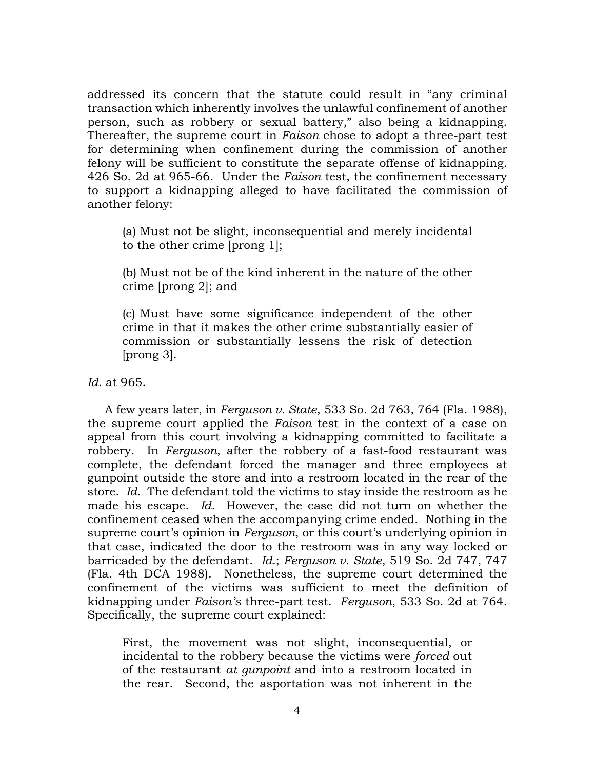addressed its concern that the statute could result in "any criminal transaction which inherently involves the unlawful confinement of another person, such as robbery or sexual battery," also being a kidnapping. Thereafter, the supreme court in *Faison* chose to adopt a three-part test for determining when confinement during the commission of another felony will be sufficient to constitute the separate offense of kidnapping. 426 So. 2d at 965-66. Under the *Faison* test, the confinement necessary to support a kidnapping alleged to have facilitated the commission of another felony:

(a) Must not be slight, inconsequential and merely incidental to the other crime [prong 1];

(b) Must not be of the kind inherent in the nature of the other crime [prong 2]; and

(c) Must have some significance independent of the other crime in that it makes the other crime substantially easier of commission or substantially lessens the risk of detection [prong 3].

*Id.* at 965.

A few years later, in *Ferguson v. State*, 533 So. 2d 763, 764 (Fla. 1988), the supreme court applied the *Faison* test in the context of a case on appeal from this court involving a kidnapping committed to facilitate a robbery. In *Ferguson*, after the robbery of a fast-food restaurant was complete, the defendant forced the manager and three employees at gunpoint outside the store and into a restroom located in the rear of the store. *Id.* The defendant told the victims to stay inside the restroom as he made his escape. *Id.* However, the case did not turn on whether the confinement ceased when the accompanying crime ended. Nothing in the supreme court's opinion in *Ferguson*, or this court's underlying opinion in that case, indicated the door to the restroom was in any way locked or barricaded by the defendant. *Id.*; *Ferguson v. State*, 519 So. 2d 747, 747 (Fla. 4th DCA 1988). Nonetheless, the supreme court determined the confinement of the victims was sufficient to meet the definition of kidnapping under *Faison's* three-part test. *Ferguson*, 533 So. 2d at 764. Specifically, the supreme court explained:

First, the movement was not slight, inconsequential, or incidental to the robbery because the victims were *forced* out of the restaurant *at gunpoint* and into a restroom located in the rear. Second, the asportation was not inherent in the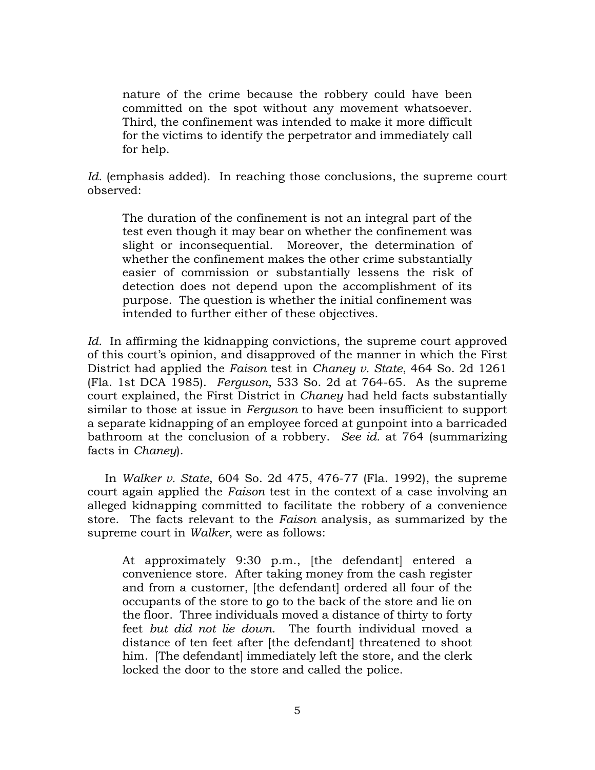nature of the crime because the robbery could have been committed on the spot without any movement whatsoever. Third, the confinement was intended to make it more difficult for the victims to identify the perpetrator and immediately call for help.

*Id.* (emphasis added). In reaching those conclusions, the supreme court observed:

The duration of the confinement is not an integral part of the test even though it may bear on whether the confinement was slight or inconsequential. Moreover, the determination of whether the confinement makes the other crime substantially easier of commission or substantially lessens the risk of detection does not depend upon the accomplishment of its purpose. The question is whether the initial confinement was intended to further either of these objectives.

*Id.* In affirming the kidnapping convictions, the supreme court approved of this court's opinion, and disapproved of the manner in which the First District had applied the *Faison* test in *Chaney v. State*, 464 So. 2d 1261 (Fla. 1st DCA 1985). *Ferguson*, 533 So. 2d at 764-65. As the supreme court explained, the First District in *Chaney* had held facts substantially similar to those at issue in *Ferguson* to have been insufficient to support a separate kidnapping of an employee forced at gunpoint into a barricaded bathroom at the conclusion of a robbery. *See id.* at 764 (summarizing facts in *Chaney*).

In *Walker v. State*, 604 So. 2d 475, 476-77 (Fla. 1992), the supreme court again applied the *Faison* test in the context of a case involving an alleged kidnapping committed to facilitate the robbery of a convenience store. The facts relevant to the *Faison* analysis, as summarized by the supreme court in *Walker*, were as follows:

At approximately 9:30 p.m., [the defendant] entered a convenience store. After taking money from the cash register and from a customer, [the defendant] ordered all four of the occupants of the store to go to the back of the store and lie on the floor. Three individuals moved a distance of thirty to forty feet *but did not lie down*. The fourth individual moved a distance of ten feet after [the defendant] threatened to shoot him. [The defendant] immediately left the store, and the clerk locked the door to the store and called the police.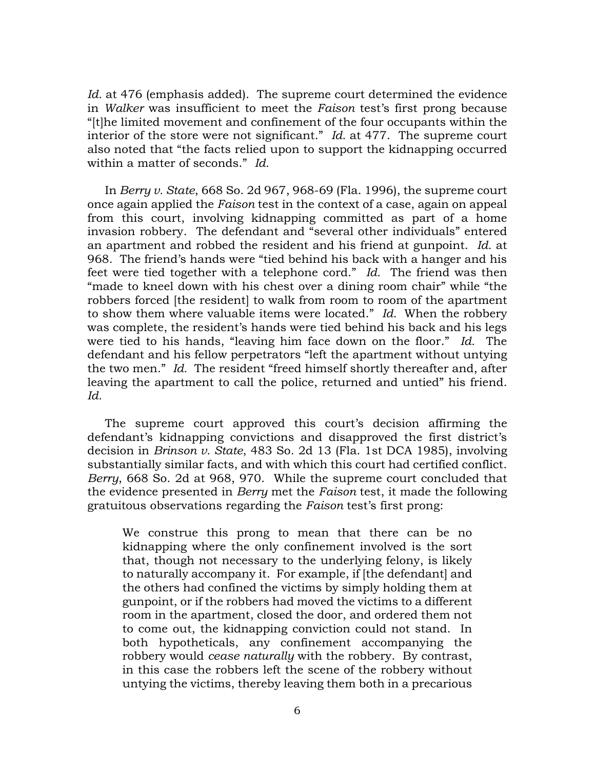*Id.* at 476 (emphasis added). The supreme court determined the evidence in *Walker* was insufficient to meet the *Faison* test's first prong because "[t]he limited movement and confinement of the four occupants within the interior of the store were not significant." *Id.* at 477. The supreme court also noted that "the facts relied upon to support the kidnapping occurred within a matter of seconds." *Id.*

In *Berry v. State*, 668 So. 2d 967, 968-69 (Fla. 1996), the supreme court once again applied the *Faison* test in the context of a case, again on appeal from this court, involving kidnapping committed as part of a home invasion robbery. The defendant and "several other individuals" entered an apartment and robbed the resident and his friend at gunpoint. *Id.* at 968. The friend's hands were "tied behind his back with a hanger and his feet were tied together with a telephone cord." *Id.* The friend was then "made to kneel down with his chest over a dining room chair" while "the robbers forced [the resident] to walk from room to room of the apartment to show them where valuable items were located." *Id.* When the robbery was complete, the resident's hands were tied behind his back and his legs were tied to his hands, "leaving him face down on the floor." *Id.* The defendant and his fellow perpetrators "left the apartment without untying the two men." *Id.* The resident "freed himself shortly thereafter and, after leaving the apartment to call the police, returned and untied" his friend. *Id.*

The supreme court approved this court's decision affirming the defendant's kidnapping convictions and disapproved the first district's decision in *Brinson v. State*, 483 So. 2d 13 (Fla. 1st DCA 1985), involving substantially similar facts, and with which this court had certified conflict. *Berry*, 668 So. 2d at 968, 970. While the supreme court concluded that the evidence presented in *Berry* met the *Faison* test, it made the following gratuitous observations regarding the *Faison* test's first prong:

We construe this prong to mean that there can be no kidnapping where the only confinement involved is the sort that, though not necessary to the underlying felony, is likely to naturally accompany it. For example, if [the defendant] and the others had confined the victims by simply holding them at gunpoint, or if the robbers had moved the victims to a different room in the apartment, closed the door, and ordered them not to come out, the kidnapping conviction could not stand. In both hypotheticals, any confinement accompanying the robbery would *cease naturally* with the robbery. By contrast, in this case the robbers left the scene of the robbery without untying the victims, thereby leaving them both in a precarious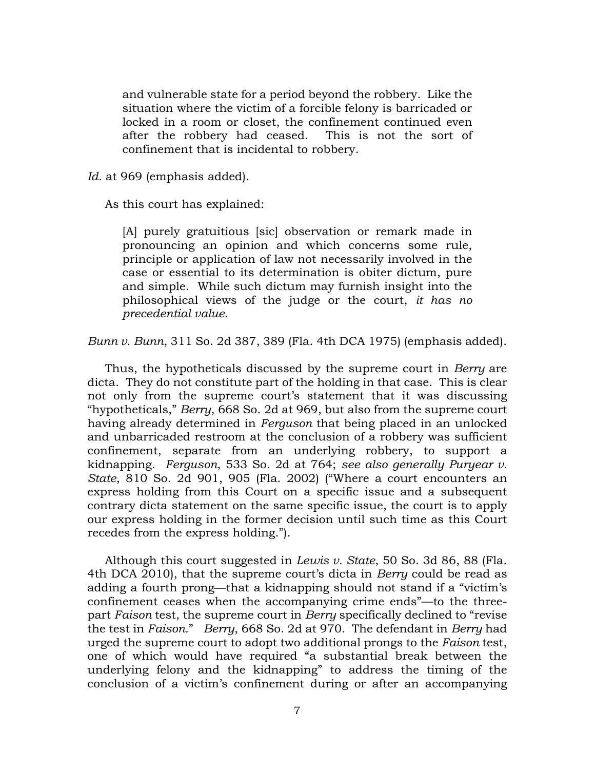and vulnerable state for a period beyond the robbery. Like the situation where the victim of a forcible felony is barricaded or locked in a room or closet, the confinement continued even after the robbery had ceased. This is not the sort of confinement that is incidental to robbery.

*Id.* at 969 (emphasis added).

As this court has explained:

[A] purely gratuitious [sic] observation or remark made in pronouncing an opinion and which concerns some rule, principle or application of law not necessarily involved in the case or essential to its determination is obiter dictum, pure and simple. While such dictum may furnish insight into the philosophical views of the judge or the court, *it has no precedential value*.

*Bunn v. Bunn*, 311 So. 2d 387, 389 (Fla. 4th DCA 1975) (emphasis added).

Thus, the hypotheticals discussed by the supreme court in *Berry* are dicta. They do not constitute part of the holding in that case. This is clear not only from the supreme court's statement that it was discussing "hypotheticals," *Berry*, 668 So. 2d at 969, but also from the supreme court having already determined in *Ferguson* that being placed in an unlocked and unbarricaded restroom at the conclusion of a robbery was sufficient confinement, separate from an underlying robbery, to support a kidnapping. *Ferguson*, 533 So. 2d at 764; *see also generally Puryear v. State*, 810 So. 2d 901, 905 (Fla. 2002) ("Where a court encounters an express holding from this Court on a specific issue and a subsequent contrary dicta statement on the same specific issue, the court is to apply our express holding in the former decision until such time as this Court recedes from the express holding.").

Although this court suggested in *Lewis v. State*, 50 So. 3d 86, 88 (Fla. 4th DCA 2010), that the supreme court's dicta in *Berry* could be read as adding a fourth prong—that a kidnapping should not stand if a "victim's confinement ceases when the accompanying crime ends"—to the threepart *Faison* test, the supreme court in *Berry* specifically declined to "revise the test in *Faison.*" *Berry*, 668 So. 2d at 970. The defendant in *Berry* had urged the supreme court to adopt two additional prongs to the *Faison* test, one of which would have required "a substantial break between the underlying felony and the kidnapping" to address the timing of the conclusion of a victim's confinement during or after an accompanying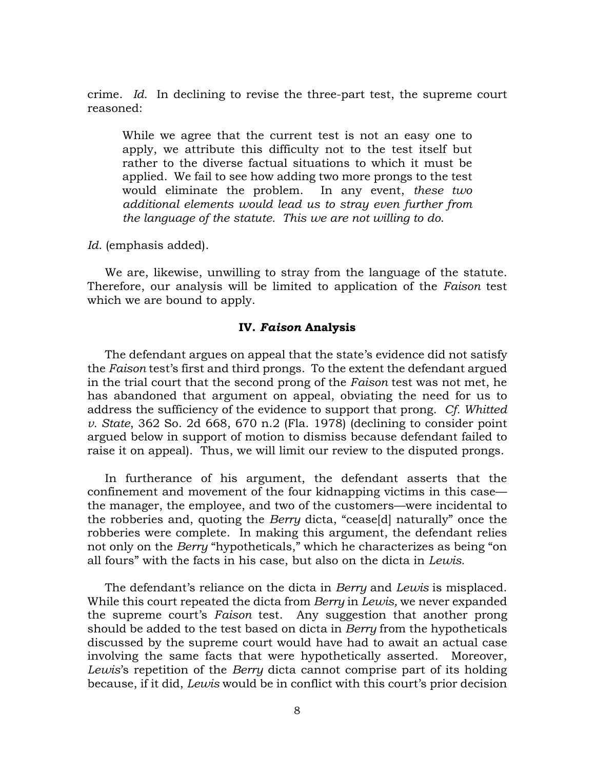crime. *Id.* In declining to revise the three-part test, the supreme court reasoned:

While we agree that the current test is not an easy one to apply, we attribute this difficulty not to the test itself but rather to the diverse factual situations to which it must be applied. We fail to see how adding two more prongs to the test would eliminate the problem. In any event, *these two additional elements would lead us to stray even further from the language of the statute. This we are not willing to do*.

*Id.* (emphasis added).

We are, likewise, unwilling to stray from the language of the statute. Therefore, our analysis will be limited to application of the *Faison* test which we are bound to apply.

### **IV.** *Faison* **Analysis**

The defendant argues on appeal that the state's evidence did not satisfy the *Faison* test's first and third prongs. To the extent the defendant argued in the trial court that the second prong of the *Faison* test was not met, he has abandoned that argument on appeal, obviating the need for us to address the sufficiency of the evidence to support that prong. *Cf. Whitted v. State*, 362 So. 2d 668, 670 n.2 (Fla. 1978) (declining to consider point argued below in support of motion to dismiss because defendant failed to raise it on appeal). Thus, we will limit our review to the disputed prongs.

In furtherance of his argument, the defendant asserts that the confinement and movement of the four kidnapping victims in this case the manager, the employee, and two of the customers—were incidental to the robberies and, quoting the *Berry* dicta, "cease[d] naturally" once the robberies were complete. In making this argument, the defendant relies not only on the *Berry* "hypotheticals," which he characterizes as being "on all fours" with the facts in his case, but also on the dicta in *Lewis.*

The defendant's reliance on the dicta in *Berry* and *Lewis* is misplaced. While this court repeated the dicta from *Berry* in *Lewis,* we never expanded the supreme court's *Faison* test. Any suggestion that another prong should be added to the test based on dicta in *Berry* from the hypotheticals discussed by the supreme court would have had to await an actual case involving the same facts that were hypothetically asserted. Moreover, *Lewis*'s repetition of the *Berry* dicta cannot comprise part of its holding because, if it did, *Lewis* would be in conflict with this court's prior decision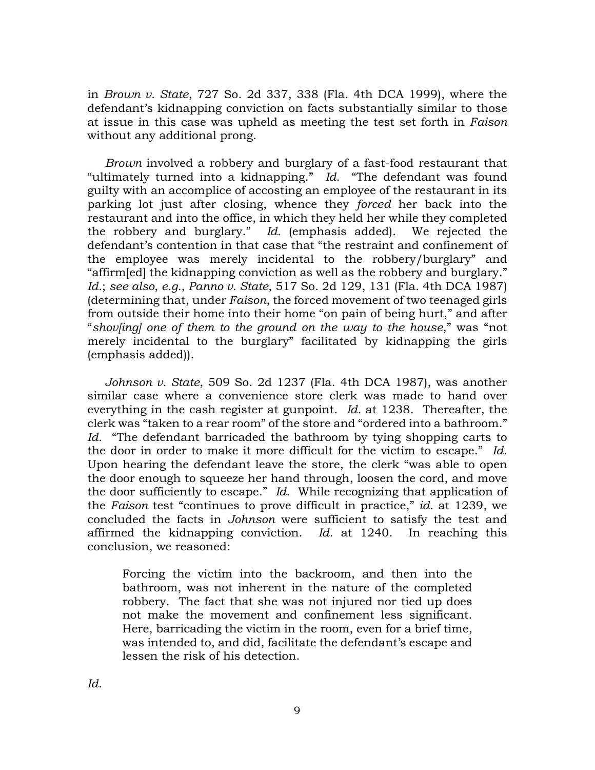in *Brown v. State*, 727 So. 2d 337, 338 (Fla. 4th DCA 1999), where the defendant's kidnapping conviction on facts substantially similar to those at issue in this case was upheld as meeting the test set forth in *Faison* without any additional prong.

*Brown* involved a robbery and burglary of a fast-food restaurant that "ultimately turned into a kidnapping." *Id.* "The defendant was found guilty with an accomplice of accosting an employee of the restaurant in its parking lot just after closing, whence they *forced* her back into the restaurant and into the office, in which they held her while they completed the robbery and burglary." *Id.* (emphasis added). We rejected the defendant's contention in that case that "the restraint and confinement of the employee was merely incidental to the robbery/burglary" and "affirm[ed] the kidnapping conviction as well as the robbery and burglary." *Id.*; *see also*, *e.g.*, *Panno v. State*, 517 So. 2d 129, 131 (Fla. 4th DCA 1987) (determining that, under *Faison*, the forced movement of two teenaged girls from outside their home into their home "on pain of being hurt," and after "*shov[ing] one of them to the ground on the way to the house*," was "not merely incidental to the burglary" facilitated by kidnapping the girls (emphasis added)).

*Johnson v. State*, 509 So. 2d 1237 (Fla. 4th DCA 1987), was another similar case where a convenience store clerk was made to hand over everything in the cash register at gunpoint. *Id.* at 1238. Thereafter, the clerk was "taken to a rear room" of the store and "ordered into a bathroom." *Id.* "The defendant barricaded the bathroom by tying shopping carts to the door in order to make it more difficult for the victim to escape." *Id.*  Upon hearing the defendant leave the store, the clerk "was able to open the door enough to squeeze her hand through, loosen the cord, and move the door sufficiently to escape." *Id.* While recognizing that application of the *Faison* test "continues to prove difficult in practice," *id.* at 1239, we concluded the facts in *Johnson* were sufficient to satisfy the test and affirmed the kidnapping conviction. *Id.* at 1240. In reaching this conclusion, we reasoned:

Forcing the victim into the backroom, and then into the bathroom, was not inherent in the nature of the completed robbery. The fact that she was not injured nor tied up does not make the movement and confinement less significant. Here, barricading the victim in the room, even for a brief time, was intended to, and did, facilitate the defendant's escape and lessen the risk of his detection.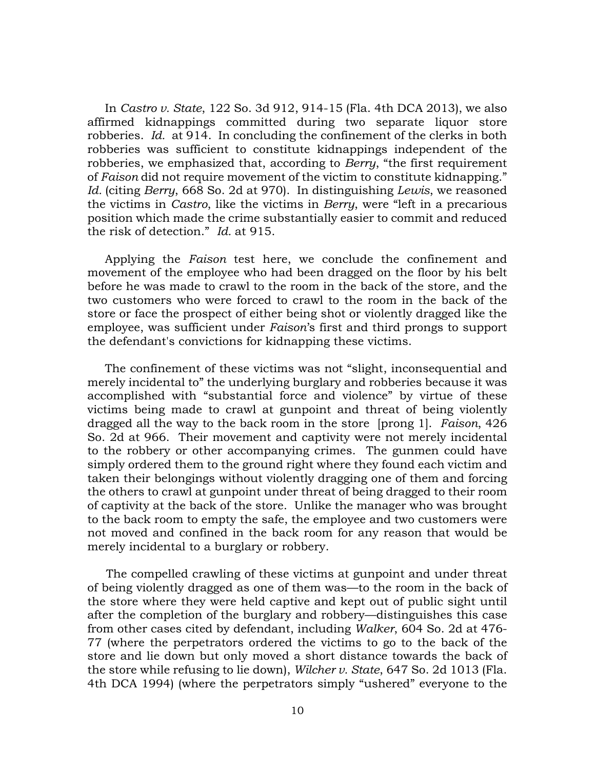In *Castro v. State*, 122 So. 3d 912, 914-15 (Fla. 4th DCA 2013), we also affirmed kidnappings committed during two separate liquor store robberies. *Id.* at 914. In concluding the confinement of the clerks in both robberies was sufficient to constitute kidnappings independent of the robberies, we emphasized that, according to *Berry*, "the first requirement of *Faison* did not require movement of the victim to constitute kidnapping." *Id.* (citing *Berry*, 668 So. 2d at 970). In distinguishing *Lewis*, we reasoned the victims in *Castro*, like the victims in *Berry*, were "left in a precarious position which made the crime substantially easier to commit and reduced the risk of detection." *Id.* at 915.

Applying the *Faison* test here, we conclude the confinement and movement of the employee who had been dragged on the floor by his belt before he was made to crawl to the room in the back of the store, and the two customers who were forced to crawl to the room in the back of the store or face the prospect of either being shot or violently dragged like the employee, was sufficient under *Faison*'s first and third prongs to support the defendant's convictions for kidnapping these victims.

The confinement of these victims was not "slight, inconsequential and merely incidental to" the underlying burglary and robberies because it was accomplished with "substantial force and violence" by virtue of these victims being made to crawl at gunpoint and threat of being violently dragged all the way to the back room in the store [prong 1]. *Faison*, 426 So. 2d at 966. Their movement and captivity were not merely incidental to the robbery or other accompanying crimes. The gunmen could have simply ordered them to the ground right where they found each victim and taken their belongings without violently dragging one of them and forcing the others to crawl at gunpoint under threat of being dragged to their room of captivity at the back of the store. Unlike the manager who was brought to the back room to empty the safe, the employee and two customers were not moved and confined in the back room for any reason that would be merely incidental to a burglary or robbery.

 The compelled crawling of these victims at gunpoint and under threat of being violently dragged as one of them was—to the room in the back of the store where they were held captive and kept out of public sight until after the completion of the burglary and robbery—distinguishes this case from other cases cited by defendant, including *Walker*, 604 So. 2d at 476- 77 (where the perpetrators ordered the victims to go to the back of the store and lie down but only moved a short distance towards the back of the store while refusing to lie down), *Wilcher v. State*, 647 So. 2d 1013 (Fla. 4th DCA 1994) (where the perpetrators simply "ushered" everyone to the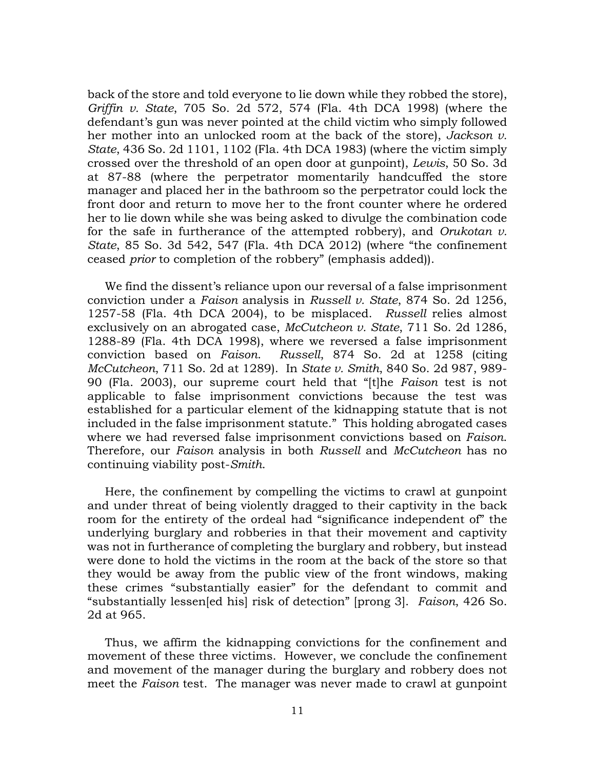back of the store and told everyone to lie down while they robbed the store), *Griffin v. State*, 705 So. 2d 572, 574 (Fla. 4th DCA 1998) (where the defendant's gun was never pointed at the child victim who simply followed her mother into an unlocked room at the back of the store), *Jackson v. State*, 436 So. 2d 1101, 1102 (Fla. 4th DCA 1983) (where the victim simply crossed over the threshold of an open door at gunpoint), *Lewis*, 50 So. 3d at 87-88 (where the perpetrator momentarily handcuffed the store manager and placed her in the bathroom so the perpetrator could lock the front door and return to move her to the front counter where he ordered her to lie down while she was being asked to divulge the combination code for the safe in furtherance of the attempted robbery), and *Orukotan v. State*, 85 So. 3d 542, 547 (Fla. 4th DCA 2012) (where "the confinement ceased *prior* to completion of the robbery" (emphasis added)).

We find the dissent's reliance upon our reversal of a false imprisonment conviction under a *Faison* analysis in *Russell v. State*, 874 So. 2d 1256, 1257-58 (Fla. 4th DCA 2004), to be misplaced. *Russell* relies almost exclusively on an abrogated case, *McCutcheon v. State*, 711 So. 2d 1286, 1288-89 (Fla. 4th DCA 1998), where we reversed a false imprisonment conviction based on *Faison*. *Russell*, 874 So. 2d at 1258 (citing *McCutcheon*, 711 So. 2d at 1289). In *State v. Smith*, 840 So. 2d 987, 989- 90 (Fla. 2003), our supreme court held that "[t]he *Faison* test is not applicable to false imprisonment convictions because the test was established for a particular element of the kidnapping statute that is not included in the false imprisonment statute." This holding abrogated cases where we had reversed false imprisonment convictions based on *Faison*. Therefore, our *Faison* analysis in both *Russell* and *McCutcheon* has no continuing viability post-*Smith*.

Here, the confinement by compelling the victims to crawl at gunpoint and under threat of being violently dragged to their captivity in the back room for the entirety of the ordeal had "significance independent of" the underlying burglary and robberies in that their movement and captivity was not in furtherance of completing the burglary and robbery, but instead were done to hold the victims in the room at the back of the store so that they would be away from the public view of the front windows, making these crimes "substantially easier" for the defendant to commit and "substantially lessen[ed his] risk of detection" [prong 3]. *Faison*, 426 So. 2d at 965.

Thus, we affirm the kidnapping convictions for the confinement and movement of these three victims. However, we conclude the confinement and movement of the manager during the burglary and robbery does not meet the *Faison* test. The manager was never made to crawl at gunpoint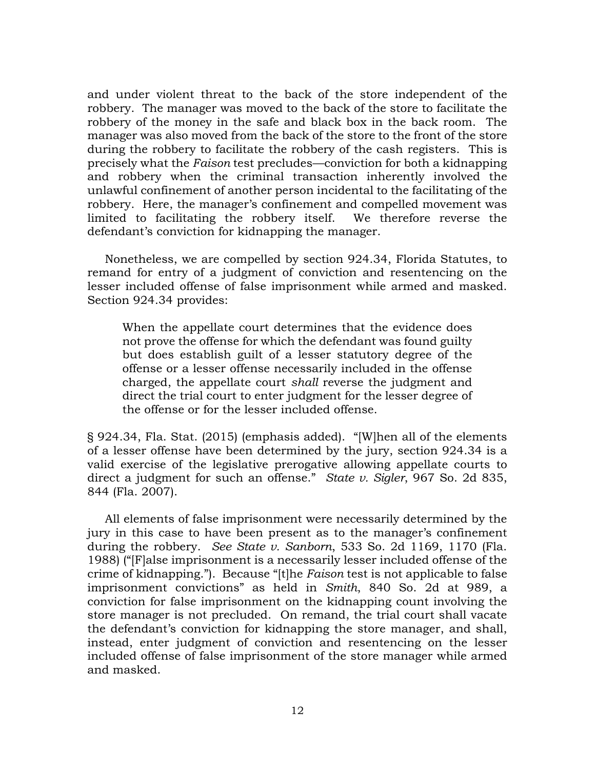and under violent threat to the back of the store independent of the robbery. The manager was moved to the back of the store to facilitate the robbery of the money in the safe and black box in the back room. The manager was also moved from the back of the store to the front of the store during the robbery to facilitate the robbery of the cash registers. This is precisely what the *Faison* test precludes—conviction for both a kidnapping and robbery when the criminal transaction inherently involved the unlawful confinement of another person incidental to the facilitating of the robbery. Here, the manager's confinement and compelled movement was limited to facilitating the robbery itself. We therefore reverse the defendant's conviction for kidnapping the manager.

Nonetheless, we are compelled by section 924.34, Florida Statutes, to remand for entry of a judgment of conviction and resentencing on the lesser included offense of false imprisonment while armed and masked. Section 924.34 provides:

When the appellate court determines that the evidence does not prove the offense for which the defendant was found guilty but does establish guilt of a lesser statutory degree of the offense or a lesser offense necessarily included in the offense charged, the appellate court *shall* reverse the judgment and direct the trial court to enter judgment for the lesser degree of the offense or for the lesser included offense.

§ 924.34, Fla. Stat. (2015) (emphasis added). "[W]hen all of the elements of a lesser offense have been determined by the jury, section 924.34 is a valid exercise of the legislative prerogative allowing appellate courts to direct a judgment for such an offense." *State v. Sigler*, 967 So. 2d 835, 844 (Fla. 2007).

All elements of false imprisonment were necessarily determined by the jury in this case to have been present as to the manager's confinement during the robbery. *See State v. Sanborn*, 533 So. 2d 1169, 1170 (Fla. 1988) ("[F]alse imprisonment is a necessarily lesser included offense of the crime of kidnapping."). Because "[t]he *Faison* test is not applicable to false imprisonment convictions" as held in *Smith*, 840 So. 2d at 989, a conviction for false imprisonment on the kidnapping count involving the store manager is not precluded. On remand, the trial court shall vacate the defendant's conviction for kidnapping the store manager, and shall, instead, enter judgment of conviction and resentencing on the lesser included offense of false imprisonment of the store manager while armed and masked.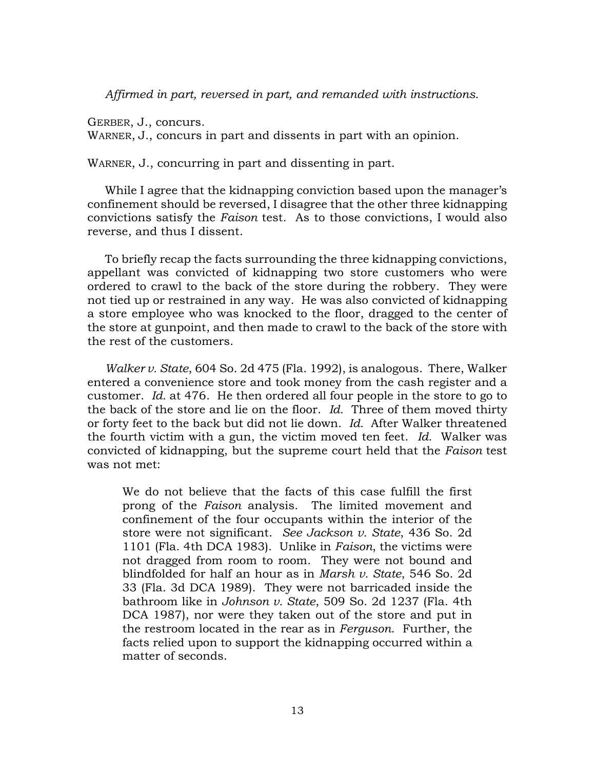*Affirmed in part, reversed in part, and remanded with instructions.*

GERBER, J., concurs.

WARNER, J., concurs in part and dissents in part with an opinion.

WARNER, J., concurring in part and dissenting in part.

While I agree that the kidnapping conviction based upon the manager's confinement should be reversed, I disagree that the other three kidnapping convictions satisfy the *Faison* test. As to those convictions, I would also reverse, and thus I dissent.

To briefly recap the facts surrounding the three kidnapping convictions, appellant was convicted of kidnapping two store customers who were ordered to crawl to the back of the store during the robbery. They were not tied up or restrained in any way. He was also convicted of kidnapping a store employee who was knocked to the floor, dragged to the center of the store at gunpoint, and then made to crawl to the back of the store with the rest of the customers.

*Walker v. State*, 604 So. 2d 475 (Fla. 1992), is analogous. There, Walker entered a convenience store and took money from the cash register and a customer. *Id.* at 476. He then ordered all four people in the store to go to the back of the store and lie on the floor. *Id.* Three of them moved thirty or forty feet to the back but did not lie down. *Id.* After Walker threatened the fourth victim with a gun, the victim moved ten feet. *Id.* Walker was convicted of kidnapping, but the supreme court held that the *Faison* test was not met:

We do not believe that the facts of this case fulfill the first prong of the *Faison* analysis. The limited movement and confinement of the four occupants within the interior of the store were not significant. *See Jackson v. State*, 436 So. 2d 1101 (Fla. 4th DCA 1983). Unlike in *Faison*, the victims were not dragged from room to room. They were not bound and blindfolded for half an hour as in *Marsh v. State*, 546 So. 2d 33 (Fla. 3d DCA 1989). They were not barricaded inside the bathroom like in *Johnson v. State*, 509 So. 2d 1237 (Fla. 4th DCA 1987), nor were they taken out of the store and put in the restroom located in the rear as in *Ferguson*. Further, the facts relied upon to support the kidnapping occurred within a matter of seconds.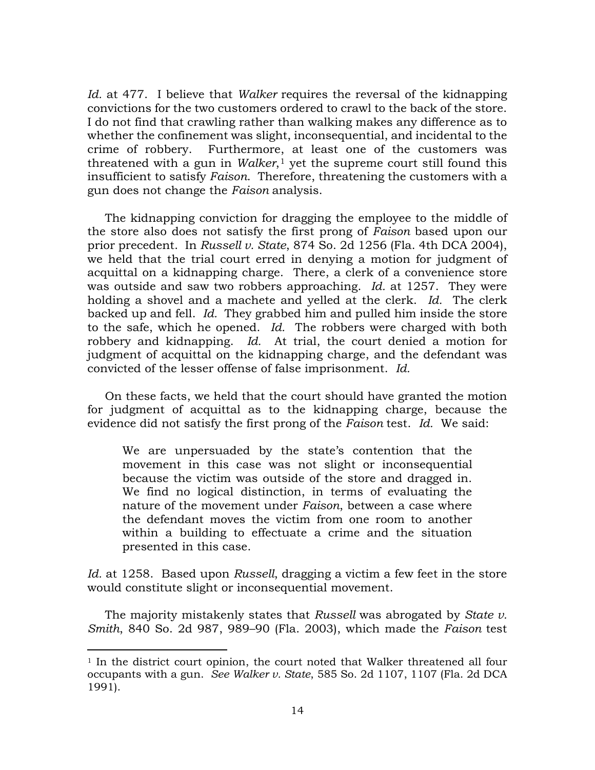*Id.* at 477. I believe that *Walker* requires the reversal of the kidnapping convictions for the two customers ordered to crawl to the back of the store. I do not find that crawling rather than walking makes any difference as to whether the confinement was slight, inconsequential, and incidental to the crime of robbery. Furthermore, at least one of the customers was threatened with a gun in *Walker*,<sup>[1](#page-13-0)</sup> yet the supreme court still found this insufficient to satisfy *Faison*. Therefore, threatening the customers with a gun does not change the *Faison* analysis.

The kidnapping conviction for dragging the employee to the middle of the store also does not satisfy the first prong of *Faison* based upon our prior precedent. In *Russell v. State*, 874 So. 2d 1256 (Fla. 4th DCA 2004), we held that the trial court erred in denying a motion for judgment of acquittal on a kidnapping charge. There, a clerk of a convenience store was outside and saw two robbers approaching. *Id.* at 1257. They were holding a shovel and a machete and yelled at the clerk. *Id.* The clerk backed up and fell. *Id.* They grabbed him and pulled him inside the store to the safe, which he opened. *Id.* The robbers were charged with both robbery and kidnapping. *Id.* At trial, the court denied a motion for judgment of acquittal on the kidnapping charge, and the defendant was convicted of the lesser offense of false imprisonment. *Id.*

On these facts, we held that the court should have granted the motion for judgment of acquittal as to the kidnapping charge, because the evidence did not satisfy the first prong of the *Faison* test. *Id.* We said:

We are unpersuaded by the state's contention that the movement in this case was not slight or inconsequential because the victim was outside of the store and dragged in. We find no logical distinction, in terms of evaluating the nature of the movement under *Faison*, between a case where the defendant moves the victim from one room to another within a building to effectuate a crime and the situation presented in this case.

*Id.* at 1258. Based upon *Russell*, dragging a victim a few feet in the store would constitute slight or inconsequential movement.

The majority mistakenly states that *Russell* was abrogated by *State v. Smith*, 840 So. 2d 987, 989–90 (Fla. 2003), which made the *Faison* test

<span id="page-13-0"></span><sup>1</sup> In the district court opinion, the court noted that Walker threatened all four occupants with a gun. *See Walker v. State*, 585 So. 2d 1107, 1107 (Fla. 2d DCA 1991).